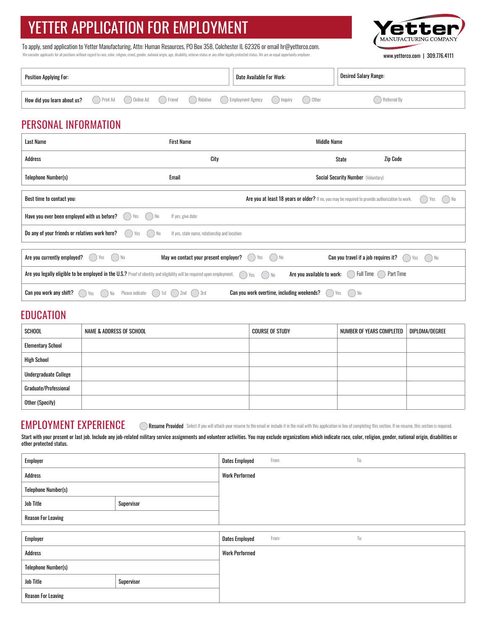# YETTER APPLICATION FOR EMPLOYMENT

We consider applicants for all positions without regard to race, color, religion, creed, gender, national origin, age, disability, veteran status or any other legally protected status. We are an equal opportunity employer. To apply, send application to Yetter Manufacturing, Attn: Human Resources, PO Box 358, Colchester IL 62326 or email hr@yetterco.com.

er MANUFACTURING COMPANY

www.yetterco.com | 309.776.4111

| Position Applying For:      |              |  |  |  | Date Available For Work:                                |                                | <b>Desired Salary Range:</b> |               |
|-----------------------------|--------------|--|--|--|---------------------------------------------------------|--------------------------------|------------------------------|---------------|
| How did you learn about us? | ( ) Print Ad |  |  |  | Online Ad ( ) Friend ( ) Relative ( ) Employment Agency | $\left( \quad \right)$ Inquiry | ) Other                      | ) Referred By |

## PERSONAL INFORMATION

| <b>Last Name</b>                                                                                                                                                                                           | <b>First Name</b>                              | <b>Middle Name</b>                                                                               |             |  |
|------------------------------------------------------------------------------------------------------------------------------------------------------------------------------------------------------------|------------------------------------------------|--------------------------------------------------------------------------------------------------|-------------|--|
| Address                                                                                                                                                                                                    | City                                           | State                                                                                            | Zip Code    |  |
| Telephone Number(s)                                                                                                                                                                                        | Email                                          | <b>Social Security Number (Voluntary)</b>                                                        |             |  |
| Best time to contact you:                                                                                                                                                                                  |                                                | Are you at least 18 years or older? If no, you may be required to provide authorization to work. |             |  |
| Have you ever been employed with us before?<br>) No<br>Yes                                                                                                                                                 | If yes, give date:                             |                                                                                                  |             |  |
| Do any of your friends or relatives work here?<br>i) No<br>Yes                                                                                                                                             | If yes, state name, relationship and location: |                                                                                                  |             |  |
| Are you currently employed?<br>No                                                                                                                                                                          | May we contact your present employer?          | Can you travel if a job requires it?<br>∩ No<br>Yes                                              | ) No<br>Yes |  |
| Are you available to work:<br>Full Time ( ) Part Time<br>Are you legally eligible to be employed in the U.S.? Proof of identity and eligibility will be required upon employment.<br>g i<br>$()$ No<br>Yes |                                                |                                                                                                  |             |  |
| Can you work any shift?<br>Please indicate:<br>( ) 1st<br>Yes                                                                                                                                              | $)$ 3rd<br>2nd                                 | Can you work overtime, including weekends?<br>) No<br>Yes                                        |             |  |

#### **EDUCATION**

 $\overline{1}$ 

| <b>SCHOOL</b>                | NAME & ADDRESS OF SCHOOL | COURSE OF STUDY | NUMBER OF YEARS COMPLETED | DIPLOMA/DEGREE |
|------------------------------|--------------------------|-----------------|---------------------------|----------------|
| <b>Elementary School</b>     |                          |                 |                           |                |
| <b>High School</b>           |                          |                 |                           |                |
| <b>Undergraduate College</b> |                          |                 |                           |                |
| Graduate/Professional        |                          |                 |                           |                |
| Other (Specify)              |                          |                 |                           |                |

#### EMPLOYMENT EXPERIENCE

Resume Provided Select if you will attach your resume to the email or include it in the mail with this application in lieu of completing this section. If no resume, this section is required.

Start with your present or last job. Include any job-related military service assignments and volunteer activities. You may exclude organizations which indicate race, color, religion, gender, national origin, disabilities or other protected status.

T

| Employer                   |            | Dates Employed        | From: | $\mathsf{T}0:$ |
|----------------------------|------------|-----------------------|-------|----------------|
| Address                    |            | <b>Work Performed</b> |       |                |
| <b>Telephone Number(s)</b> |            |                       |       |                |
| Job Title<br>Supervisor    |            |                       |       |                |
| <b>Reason For Leaving</b>  |            |                       |       |                |
|                            |            |                       |       |                |
| Employer                   |            | <b>Dates Employed</b> | From: | T <sub>0</sub> |
| Address                    |            | <b>Work Performed</b> |       |                |
| <b>Telephone Number(s)</b> |            |                       |       |                |
| Job Title                  | Supervisor |                       |       |                |
| <b>Reason For Leaving</b>  |            |                       |       |                |